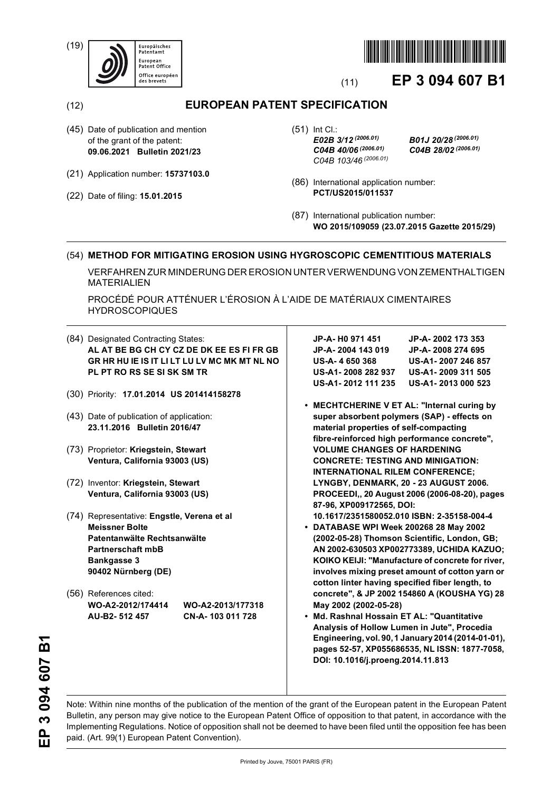(19)





# (11) **EP 3 094 607 B1**

## (12) **EUROPEAN PATENT SPECIFICATION**

- (45) Date of publication and mention of the grant of the patent: **09.06.2021 Bulletin 2021/23**
- (21) Application number: **15737103.0**
- (22) Date of filing: **15.01.2015**

(51) Int Cl.: *E02B 3/12 (2006.01) B01J 20/28 (2006.01) C04B 40/06 (2006.01) C04B 28/02 (2006.01) C04B 103/46 (2006.01)*

- (86) International application number: **PCT/US2015/011537**
- (87) International publication number: **WO 2015/109059 (23.07.2015 Gazette 2015/29)**

### (54) **METHOD FOR MITIGATING EROSION USING HYGROSCOPIC CEMENTITIOUS MATERIALS**

VERFAHREN ZUR MINDERUNG DER EROSION UNTER VERWENDUNG VON ZEMENTHALTIGEN MATERIALIEN

PROCÉDÉ POUR ATTÉNUER L'ÉROSION À L'AIDE DE MATÉRIAUX CIMENTAIRES HYDROSCOPIQUES

|  | (84) Designated Contracting States:<br>AL AT BE BG CH CY CZ DE DK EE ES FI FR GB |                                              |                                             | JP-A- H0 971 451                                                                       | JP-A-2002 173 353                                  |  |
|--|----------------------------------------------------------------------------------|----------------------------------------------|---------------------------------------------|----------------------------------------------------------------------------------------|----------------------------------------------------|--|
|  |                                                                                  |                                              |                                             | JP-A-2004 143 019                                                                      | JP-A-2008 274 695                                  |  |
|  |                                                                                  | GR HR HU IE IS IT LI LT LU LV MC MK MT NL NO |                                             | <b>US-A-4650368</b>                                                                    | US-A1-2007 246 857                                 |  |
|  | PL PT RO RS SE SI SK SM TR                                                       |                                              |                                             | US-A1-2008 282 937                                                                     | US-A1-2009 311 505                                 |  |
|  |                                                                                  |                                              |                                             | US-A1-2012 111 235                                                                     | US-A1-2013 000 523                                 |  |
|  |                                                                                  | (30) Priority: 17.01.2014 US 201414158278    |                                             |                                                                                        |                                                    |  |
|  |                                                                                  |                                              | • MECHTCHERINE V ET AL: "Internal curing by |                                                                                        |                                                    |  |
|  | (43) Date of publication of application:                                         |                                              |                                             | super absorbent polymers (SAP) - effects on                                            |                                                    |  |
|  | 23.11.2016 Bulletin 2016/47                                                      |                                              |                                             | material properties of self-compacting                                                 |                                                    |  |
|  |                                                                                  |                                              |                                             | fibre-reinforced high performance concrete",                                           |                                                    |  |
|  | (73) Proprietor: Kriegstein, Stewart<br>Ventura, California 93003 (US)           |                                              |                                             | <b>VOLUME CHANGES OF HARDENING</b>                                                     |                                                    |  |
|  |                                                                                  |                                              | <b>CONCRETE: TESTING AND MINIGATION:</b>    |                                                                                        |                                                    |  |
|  |                                                                                  |                                              |                                             | <b>INTERNATIONAL RILEM CONFERENCE:</b>                                                 |                                                    |  |
|  | (72) Inventor: Kriegstein, Stewart                                               |                                              |                                             | LYNGBY, DENMARK, 20 - 23 AUGUST 2006.<br>PROCEEDI,, 20 August 2006 (2006-08-20), pages |                                                    |  |
|  | Ventura, California 93003 (US)                                                   |                                              |                                             |                                                                                        |                                                    |  |
|  |                                                                                  |                                              |                                             | 87-96, XP009172565, DOI:                                                               |                                                    |  |
|  | (74) Representative: Engstle, Verena et al                                       |                                              |                                             | 10.1617/2351580052.010 ISBN: 2-35158-004-4                                             |                                                    |  |
|  | <b>Meissner Bolte</b>                                                            |                                              | • DATABASE WPI Week 200268 28 May 2002      |                                                                                        |                                                    |  |
|  | Patentanwälte Rechtsanwälte                                                      |                                              |                                             |                                                                                        | (2002-05-28) Thomson Scientific, London, GB;       |  |
|  | Partnerschaft mbB                                                                |                                              | AN 2002-630503 XP002773389, UCHIDA KAZUO;   |                                                                                        |                                                    |  |
|  | <b>Bankgasse 3</b>                                                               |                                              |                                             |                                                                                        | KOIKO KEIJI: "Manufacture of concrete for river,   |  |
|  | 90402 Nürnberg (DE)                                                              |                                              |                                             |                                                                                        | involves mixing preset amount of cotton yarn or    |  |
|  |                                                                                  |                                              |                                             | cotton linter having specified fiber length, to                                        |                                                    |  |
|  | (56) References cited:                                                           |                                              |                                             |                                                                                        | concrete", & JP 2002 154860 A (KOUSHA YG) 28       |  |
|  | WO-A2-2012/174414                                                                | WO-A2-2013/177318                            |                                             | May 2002 (2002-05-28)                                                                  |                                                    |  |
|  | AU-B2-512 457                                                                    | CN-A-103 011 728                             |                                             | • Md. Rashnal Hossain ET AL: "Quantitative                                             |                                                    |  |
|  |                                                                                  |                                              |                                             | Analysis of Hollow Lumen in Jute", Procedia                                            |                                                    |  |
|  |                                                                                  |                                              |                                             |                                                                                        | Engineering, vol. 90, 1 January 2014 (2014-01-01), |  |
|  |                                                                                  |                                              |                                             | pages 52-57, XP055686535, NL ISSN: 1877-7058,                                          |                                                    |  |
|  |                                                                                  |                                              |                                             | DOI: 10.1016/j.proeng.2014.11.813                                                      |                                                    |  |
|  |                                                                                  |                                              |                                             |                                                                                        |                                                    |  |

EP 3 094 607 B1 **EP 3 094 607 B1**

Note: Within nine months of the publication of the mention of the grant of the European patent in the European Patent Bulletin, any person may give notice to the European Patent Office of opposition to that patent, in accordance with the Implementing Regulations. Notice of opposition shall not be deemed to have been filed until the opposition fee has been paid. (Art. 99(1) European Patent Convention).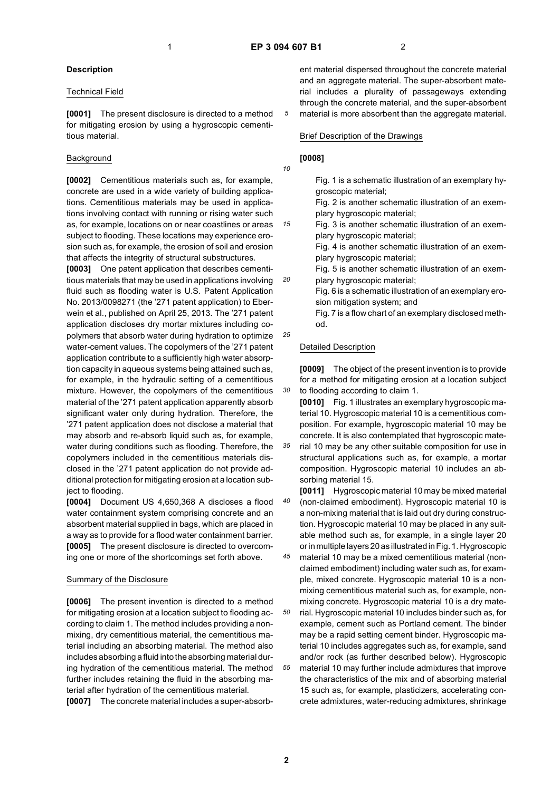*10*

*15*

*20*

*25*

*30*

*45*

### **Description**

#### Technical Field

**[0001]** The present disclosure is directed to a method for mitigating erosion by using a hygroscopic cementitious material.

### **Background**

**[0002]** Cementitious materials such as, for example, concrete are used in a wide variety of building applications. Cementitious materials may be used in applications involving contact with running or rising water such as, for example, locations on or near coastlines or areas subject to flooding. These locations may experience erosion such as, for example, the erosion of soil and erosion that affects the integrity of structural substructures.

**[0003]** One patent application that describes cementitious materials that may be used in applications involving fluid such as flooding water is U.S. Patent Application No. 2013/0098271 (the '271 patent application) to Eberwein et al., published on April 25, 2013. The '271 patent application discloses dry mortar mixtures including copolymers that absorb water during hydration to optimize water-cement values. The copolymers of the '271 patent application contribute to a sufficiently high water absorption capacity in aqueous systems being attained such as, for example, in the hydraulic setting of a cementitious mixture. However, the copolymers of the cementitious material of the '271 patent application apparently absorb significant water only during hydration. Therefore, the '271 patent application does not disclose a material that may absorb and re-absorb liquid such as, for example, water during conditions such as flooding. Therefore, the copolymers included in the cementitious materials disclosed in the '271 patent application do not provide additional protection for mitigating erosion at a location subject to flooding.

**[0004]** Document US 4,650,368 A discloses a flood water containment system comprising concrete and an absorbent material supplied in bags, which are placed in a way as to provide for a flood water containment barrier. **[0005]** The present disclosure is directed to overcoming one or more of the shortcomings set forth above.

### Summary of the Disclosure

**[0006]** The present invention is directed to a method for mitigating erosion at a location subject to flooding according to claim 1. The method includes providing a nonmixing, dry cementitious material, the cementitious material including an absorbing material. The method also includes absorbing a fluid into the absorbing material during hydration of the cementitious material. The method further includes retaining the fluid in the absorbing material after hydration of the cementitious material.

**[0007]** The concrete material includes a super-absorb-

ent material dispersed throughout the concrete material and an aggregate material. The super-absorbent material includes a plurality of passageways extending through the concrete material, and the super-absorbent material is more absorbent than the aggregate material.

#### Brief Description of the Drawings

### **[0008]**

Fig. 1 is a schematic illustration of an exemplary hygroscopic material;

Fig. 2 is another schematic illustration of an exemplary hygroscopic material;

Fig. 3 is another schematic illustration of an exemplary hygroscopic material;

Fig. 4 is another schematic illustration of an exemplary hygroscopic material;

Fig. 5 is another schematic illustration of an exemplary hygroscopic material;

Fig. 6 is a schematic illustration of an exemplary erosion mitigation system; and

Fig. 7 is a flow chart of an exemplary disclosed method.

#### Detailed Description

**[0009]** The object of the present invention is to provide for a method for mitigating erosion at a location subject to flooding according to claim 1.

**[0010]** Fig. 1 illustrates an exemplary hygroscopic material 10. Hygroscopic material 10 is a cementitious composition. For example, hygroscopic material 10 may be concrete. It is also contemplated that hygroscopic mate-

*35* rial 10 may be any other suitable composition for use in structural applications such as, for example, a mortar composition. Hygroscopic material 10 includes an absorbing material 15.

*40* **[0011]** Hygroscopic material 10 may be mixed material (non-claimed embodiment). Hygroscopic material 10 is a non-mixing material that is laid out dry during construction. Hygroscopic material 10 may be placed in any suitable method such as, for example, in a single layer 20 or in multiple layers 20 as illustrated in Fig. 1. Hygroscopic

*50* material 10 may be a mixed cementitious material (nonclaimed embodiment) including water such as, for example, mixed concrete. Hygroscopic material 10 is a nonmixing cementitious material such as, for example, nonmixing concrete. Hygroscopic material 10 is a dry material. Hygroscopic material 10 includes binder such as, for

*55* example, cement such as Portland cement. The binder may be a rapid setting cement binder. Hygroscopic material 10 includes aggregates such as, for example, sand and/or rock (as further described below). Hygroscopic material 10 may further include admixtures that improve the characteristics of the mix and of absorbing material 15 such as, for example, plasticizers, accelerating concrete admixtures, water-reducing admixtures, shrinkage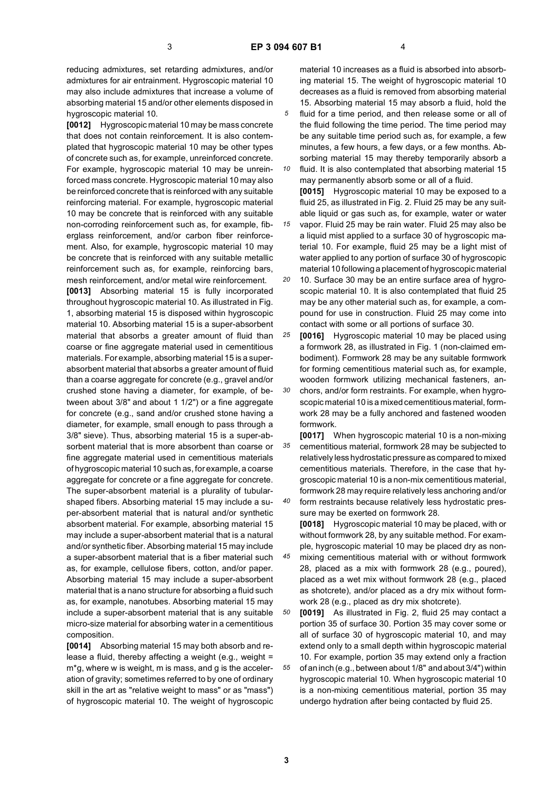reducing admixtures, set retarding admixtures, and/or admixtures for air entrainment. Hygroscopic material 10 may also include admixtures that increase a volume of absorbing material 15 and/or other elements disposed in hygroscopic material 10.

**[0012]** Hygroscopic material 10 may be mass concrete that does not contain reinforcement. It is also contemplated that hygroscopic material 10 may be other types of concrete such as, for example, unreinforced concrete. For example, hygroscopic material 10 may be unreinforced mass concrete. Hygroscopic material 10 may also be reinforced concrete that is reinforced with any suitable reinforcing material. For example, hygroscopic material 10 may be concrete that is reinforced with any suitable non-corroding reinforcement such as, for example, fiberglass reinforcement, and/or carbon fiber reinforcement. Also, for example, hygroscopic material 10 may be concrete that is reinforced with any suitable metallic reinforcement such as, for example, reinforcing bars, mesh reinforcement, and/or metal wire reinforcement.

**[0013]** Absorbing material 15 is fully incorporated throughout hygroscopic material 10. As illustrated in Fig. 1, absorbing material 15 is disposed within hygroscopic material 10. Absorbing material 15 is a super-absorbent material that absorbs a greater amount of fluid than coarse or fine aggregate material used in cementitious materials. For example, absorbing material 15 is a superabsorbent material that absorbs a greater amount of fluid than a coarse aggregate for concrete (e.g., gravel and/or crushed stone having a diameter, for example, of between about 3/8" and about 1 1/2") or a fine aggregate for concrete (e.g., sand and/or crushed stone having a diameter, for example, small enough to pass through a 3/8" sieve). Thus, absorbing material 15 is a super-absorbent material that is more absorbent than coarse or fine aggregate material used in cementitious materials of hygroscopic material 10 such as, for example, a coarse aggregate for concrete or a fine aggregate for concrete. The super-absorbent material is a plurality of tubularshaped fibers. Absorbing material 15 may include a super-absorbent material that is natural and/or synthetic absorbent material. For example, absorbing material 15 may include a super-absorbent material that is a natural and/or synthetic fiber. Absorbing material 15 may include a super-absorbent material that is a fiber material such as, for example, cellulose fibers, cotton, and/or paper. Absorbing material 15 may include a super-absorbent material that is a nano structure for absorbing a fluid such as, for example, nanotubes. Absorbing material 15 may include a super-absorbent material that is any suitable micro-size material for absorbing water in a cementitious composition.

**[0014]** Absorbing material 15 may both absorb and release a fluid, thereby affecting a weight (e.g., weight = m\*g, where w is weight, m is mass, and g is the acceleration of gravity; sometimes referred to by one of ordinary skill in the art as "relative weight to mass" or as "mass") of hygroscopic material 10. The weight of hygroscopic

material 10 increases as a fluid is absorbed into absorbing material 15. The weight of hygroscopic material 10 decreases as a fluid is removed from absorbing material 15. Absorbing material 15 may absorb a fluid, hold the

*5* fluid for a time period, and then release some or all of the fluid following the time period. The time period may be any suitable time period such as, for example, a few minutes, a few hours, a few days, or a few months. Absorbing material 15 may thereby temporarily absorb a

*10* fluid. It is also contemplated that absorbing material 15 may permanently absorb some or all of a fluid. **[0015]** Hygroscopic material 10 may be exposed to a fluid 25, as illustrated in Fig. 2. Fluid 25 may be any suitable liquid or gas such as, for example, water or water

*15* vapor. Fluid 25 may be rain water. Fluid 25 may also be a liquid mist applied to a surface 30 of hygroscopic material 10. For example, fluid 25 may be a light mist of water applied to any portion of surface 30 of hygroscopic material 10 following a placement of hygroscopic material

*20* 10. Surface 30 may be an entire surface area of hygroscopic material 10. It is also contemplated that fluid 25 may be any other material such as, for example, a compound for use in construction. Fluid 25 may come into contact with some or all portions of surface 30.

*25* **[0016]** Hygroscopic material 10 may be placed using a formwork 28, as illustrated in Fig. 1 (non-claimed embodiment). Formwork 28 may be any suitable formwork for forming cementitious material such as, for example, wooden formwork utilizing mechanical fasteners, an-

*30* chors, and/or form restraints. For example, when hygroscopic material 10 is a mixed cementitious material, formwork 28 may be a fully anchored and fastened wooden formwork.

*35* **[0017]** When hygroscopic material 10 is a non-mixing cementitious material, formwork 28 may be subjected to relatively less hydrostatic pressure as compared to mixed cementitious materials. Therefore, in the case that hygroscopic material 10 is a non-mix cementitious material, formwork 28 may require relatively less anchoring and/or

*40* form restraints because relatively less hydrostatic pressure may be exerted on formwork 28.

**[0018]** Hygroscopic material 10 may be placed, with or without formwork 28, by any suitable method. For example, hygroscopic material 10 may be placed dry as non-

*45* mixing cementitious material with or without formwork 28, placed as a mix with formwork 28 (e.g., poured), placed as a wet mix without formwork 28 (e.g., placed as shotcrete), and/or placed as a dry mix without formwork 28 (e.g., placed as dry mix shotcrete).

*50 55* **[0019]** As illustrated in Fig. 2, fluid 25 may contact a portion 35 of surface 30. Portion 35 may cover some or all of surface 30 of hygroscopic material 10, and may extend only to a small depth within hygroscopic material 10. For example, portion 35 may extend only a fraction of an inch (e.g., between about 1/8" and about 3/4") within hygroscopic material 10. When hygroscopic material 10 is a non-mixing cementitious material, portion 35 may undergo hydration after being contacted by fluid 25.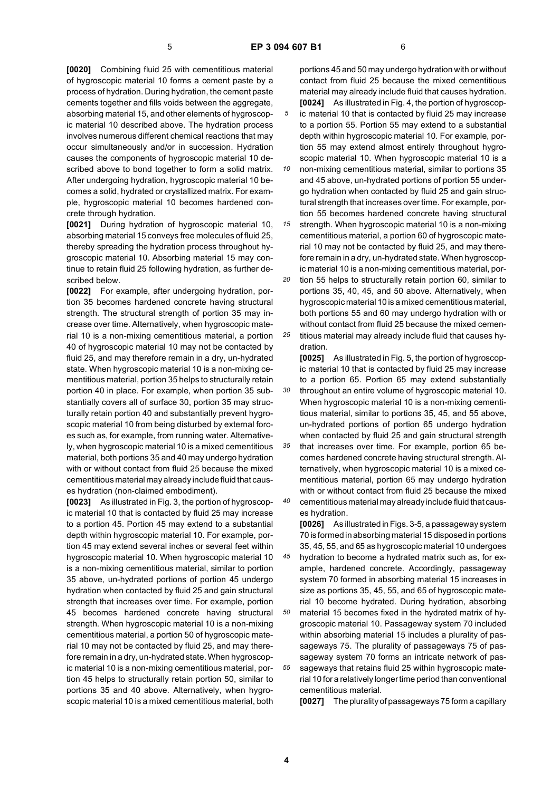*10*

**[0020]** Combining fluid 25 with cementitious material of hygroscopic material 10 forms a cement paste by a process of hydration. During hydration, the cement paste cements together and fills voids between the aggregate, absorbing material 15, and other elements of hygroscopic material 10 described above. The hydration process involves numerous different chemical reactions that may occur simultaneously and/or in succession. Hydration causes the components of hygroscopic material 10 described above to bond together to form a solid matrix. After undergoing hydration, hygroscopic material 10 becomes a solid, hydrated or crystallized matrix. For example, hygroscopic material 10 becomes hardened concrete through hydration.

**[0021]** During hydration of hygroscopic material 10, absorbing material 15 conveys free molecules of fluid 25, thereby spreading the hydration process throughout hygroscopic material 10. Absorbing material 15 may continue to retain fluid 25 following hydration, as further described below.

**[0022]** For example, after undergoing hydration, portion 35 becomes hardened concrete having structural strength. The structural strength of portion 35 may increase over time. Alternatively, when hygroscopic material 10 is a non-mixing cementitious material, a portion 40 of hygroscopic material 10 may not be contacted by fluid 25, and may therefore remain in a dry, un-hydrated state. When hygroscopic material 10 is a non-mixing cementitious material, portion 35 helps to structurally retain portion 40 in place. For example, when portion 35 substantially covers all of surface 30, portion 35 may structurally retain portion 40 and substantially prevent hygroscopic material 10 from being disturbed by external forces such as, for example, from running water. Alternatively, when hygroscopic material 10 is a mixed cementitious material, both portions 35 and 40 may undergo hydration with or without contact from fluid 25 because the mixed cementitious material may already include fluid that causes hydration (non-claimed embodiment).

**[0023]** As illustrated in Fig. 3, the portion of hygroscopic material 10 that is contacted by fluid 25 may increase to a portion 45. Portion 45 may extend to a substantial depth within hygroscopic material 10. For example, portion 45 may extend several inches or several feet within hygroscopic material 10. When hygroscopic material 10 is a non-mixing cementitious material, similar to portion 35 above, un-hydrated portions of portion 45 undergo hydration when contacted by fluid 25 and gain structural strength that increases over time. For example, portion 45 becomes hardened concrete having structural strength. When hygroscopic material 10 is a non-mixing cementitious material, a portion 50 of hygroscopic material 10 may not be contacted by fluid 25, and may therefore remain in a dry, un-hydrated state. When hygroscopic material 10 is a non-mixing cementitious material, portion 45 helps to structurally retain portion 50, similar to portions 35 and 40 above. Alternatively, when hygroscopic material 10 is a mixed cementitious material, both

portions 45 and 50 may undergo hydration with or without contact from fluid 25 because the mixed cementitious material may already include fluid that causes hydration. **[0024]** As illustrated in Fig. 4, the portion of hygroscopic material 10 that is contacted by fluid 25 may increase to a portion 55. Portion 55 may extend to a substantial depth within hygroscopic material 10. For example, por-

tion 55 may extend almost entirely throughout hygroscopic material 10. When hygroscopic material 10 is a non-mixing cementitious material, similar to portions 35 and 45 above, un-hydrated portions of portion 55 under-

*15* go hydration when contacted by fluid 25 and gain structural strength that increases over time. For example, portion 55 becomes hardened concrete having structural strength. When hygroscopic material 10 is a non-mixing

cementitious material, a portion 60 of hygroscopic material 10 may not be contacted by fluid 25, and may therefore remain in a dry, un-hydrated state. When hygroscopic material 10 is a non-mixing cementitious material, por-

*20 25* tion 55 helps to structurally retain portion 60, similar to portions 35, 40, 45, and 50 above. Alternatively, when hygroscopic material 10 is a mixed cementitious material, both portions 55 and 60 may undergo hydration with or without contact from fluid 25 because the mixed cementitious material may already include fluid that causes hy-

*30* dration. **[0025]** As illustrated in Fig. 5, the portion of hygroscopic material 10 that is contacted by fluid 25 may increase to a portion 65. Portion 65 may extend substantially throughout an entire volume of hygroscopic material 10. When hygroscopic material 10 is a non-mixing cementitious material, similar to portions 35, 45, and 55 above, un-hydrated portions of portion 65 undergo hydration when contacted by fluid 25 and gain structural strength

*35 40* that increases over time. For example, portion 65 becomes hardened concrete having structural strength. Alternatively, when hygroscopic material 10 is a mixed cementitious material, portion 65 may undergo hydration with or without contact from fluid 25 because the mixed cementitious material may already include fluid that caus-

es hydration.

**[0026]** As illustrated in Figs. 3-5, a passageway system 70 is formed in absorbing material 15 disposed in portions 35, 45, 55, and 65 as hygroscopic material 10 undergoes

*45* hydration to become a hydrated matrix such as, for example, hardened concrete. Accordingly, passageway system 70 formed in absorbing material 15 increases in size as portions 35, 45, 55, and 65 of hygroscopic material 10 become hydrated. During hydration, absorbing

*50 55* material 15 becomes fixed in the hydrated matrix of hygroscopic material 10. Passageway system 70 included within absorbing material 15 includes a plurality of passageways 75. The plurality of passageways 75 of passageway system 70 forms an intricate network of passageways that retains fluid 25 within hygroscopic material 10 for a relatively longer time period than conventional cementitious material.

**[0027]** The plurality of passageways 75 form a capillary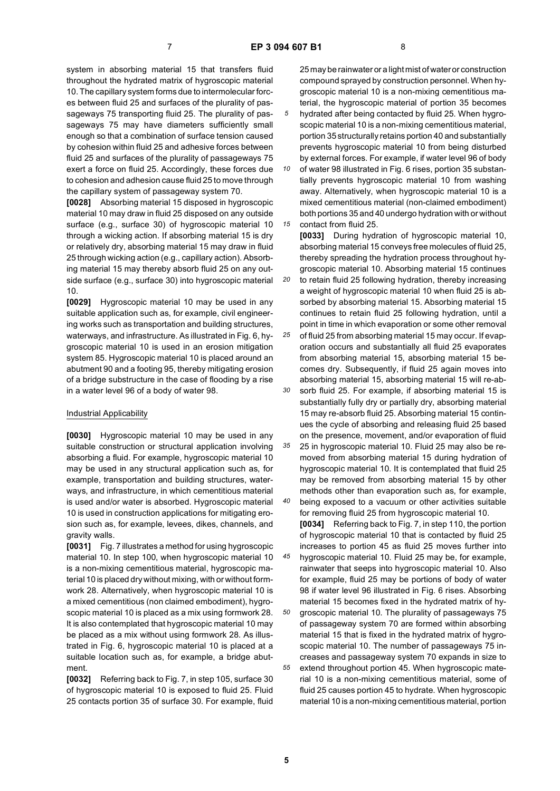*20*

*35*

*40*

system in absorbing material 15 that transfers fluid throughout the hydrated matrix of hygroscopic material 10. The capillary system forms due to intermolecular forces between fluid 25 and surfaces of the plurality of passageways 75 transporting fluid 25. The plurality of passageways 75 may have diameters sufficiently small enough so that a combination of surface tension caused by cohesion within fluid 25 and adhesive forces between fluid 25 and surfaces of the plurality of passageways 75 exert a force on fluid 25. Accordingly, these forces due to cohesion and adhesion cause fluid 25 to move through the capillary system of passageway system 70.

**[0028]** Absorbing material 15 disposed in hygroscopic material 10 may draw in fluid 25 disposed on any outside surface (e.g., surface 30) of hygroscopic material 10 through a wicking action. If absorbing material 15 is dry or relatively dry, absorbing material 15 may draw in fluid 25 through wicking action (e.g., capillary action). Absorbing material 15 may thereby absorb fluid 25 on any outside surface (e.g., surface 30) into hygroscopic material 10.

**[0029]** Hygroscopic material 10 may be used in any suitable application such as, for example, civil engineering works such as transportation and building structures, waterways, and infrastructure. As illustrated in Fig. 6, hygroscopic material 10 is used in an erosion mitigation system 85. Hygroscopic material 10 is placed around an abutment 90 and a footing 95, thereby mitigating erosion of a bridge substructure in the case of flooding by a rise in a water level 96 of a body of water 98.

#### Industrial Applicability

**[0030]** Hygroscopic material 10 may be used in any suitable construction or structural application involving absorbing a fluid. For example, hygroscopic material 10 may be used in any structural application such as, for example, transportation and building structures, waterways, and infrastructure, in which cementitious material is used and/or water is absorbed. Hygroscopic material 10 is used in construction applications for mitigating erosion such as, for example, levees, dikes, channels, and gravity walls.

**[0031]** Fig. 7 illustrates a method for using hygroscopic material 10. In step 100, when hygroscopic material 10 is a non-mixing cementitious material, hygroscopic material 10 is placed dry without mixing, with or without formwork 28. Alternatively, when hygroscopic material 10 is a mixed cementitious (non claimed embodiment), hygroscopic material 10 is placed as a mix using formwork 28. It is also contemplated that hygroscopic material 10 may be placed as a mix without using formwork 28. As illustrated in Fig. 6, hygroscopic material 10 is placed at a suitable location such as, for example, a bridge abutment.

**[0032]** Referring back to Fig. 7, in step 105, surface 30 of hygroscopic material 10 is exposed to fluid 25. Fluid 25 contacts portion 35 of surface 30. For example, fluid

25 may be rainwater or a light mist of water or construction compound sprayed by construction personnel. When hygroscopic material 10 is a non-mixing cementitious material, the hygroscopic material of portion 35 becomes hydrated after being contacted by fluid 25. When hygroscopic material 10 is a non-mixing cementitious material, portion 35 structurally retains portion 40 and substantially prevents hygroscopic material 10 from being disturbed

*10 15* by external forces. For example, if water level 96 of body of water 98 illustrated in Fig. 6 rises, portion 35 substantially prevents hygroscopic material 10 from washing away. Alternatively, when hygroscopic material 10 is a mixed cementitious material (non-claimed embodiment) both portions 35 and 40 undergo hydration with or without contact from fluid 25.

**[0033]** During hydration of hygroscopic material 10, absorbing material 15 conveys free molecules of fluid 25, thereby spreading the hydration process throughout hygroscopic material 10. Absorbing material 15 continues to retain fluid 25 following hydration, thereby increasing a weight of hygroscopic material 10 when fluid 25 is absorbed by absorbing material 15. Absorbing material 15 continues to retain fluid 25 following hydration, until a point in time in which evaporation or some other removal

*25 30* of fluid 25 from absorbing material 15 may occur. If evaporation occurs and substantially all fluid 25 evaporates from absorbing material 15, absorbing material 15 becomes dry. Subsequently, if fluid 25 again moves into absorbing material 15, absorbing material 15 will re-ab-

sorb fluid 25. For example, if absorbing material 15 is substantially fully dry or partially dry, absorbing material 15 may re-absorb fluid 25. Absorbing material 15 continues the cycle of absorbing and releasing fluid 25 based on the presence, movement, and/or evaporation of fluid

25 in hygroscopic material 10. Fluid 25 may also be removed from absorbing material 15 during hydration of hygroscopic material 10. It is contemplated that fluid 25 may be removed from absorbing material 15 by other methods other than evaporation such as, for example, being exposed to a vacuum or other activities suitable

*45 50 55* for removing fluid 25 from hygroscopic material 10. **[0034]** Referring back to Fig. 7, in step 110, the portion of hygroscopic material 10 that is contacted by fluid 25 increases to portion 45 as fluid 25 moves further into hygroscopic material 10. Fluid 25 may be, for example, rainwater that seeps into hygroscopic material 10. Also for example, fluid 25 may be portions of body of water 98 if water level 96 illustrated in Fig. 6 rises. Absorbing material 15 becomes fixed in the hydrated matrix of hygroscopic material 10. The plurality of passageways 75 of passageway system 70 are formed within absorbing material 15 that is fixed in the hydrated matrix of hygroscopic material 10. The number of passageways 75 increases and passageway system 70 expands in size to extend throughout portion 45. When hygroscopic material 10 is a non-mixing cementitious material, some of fluid 25 causes portion 45 to hydrate. When hygroscopic material 10 is a non-mixing cementitious material, portion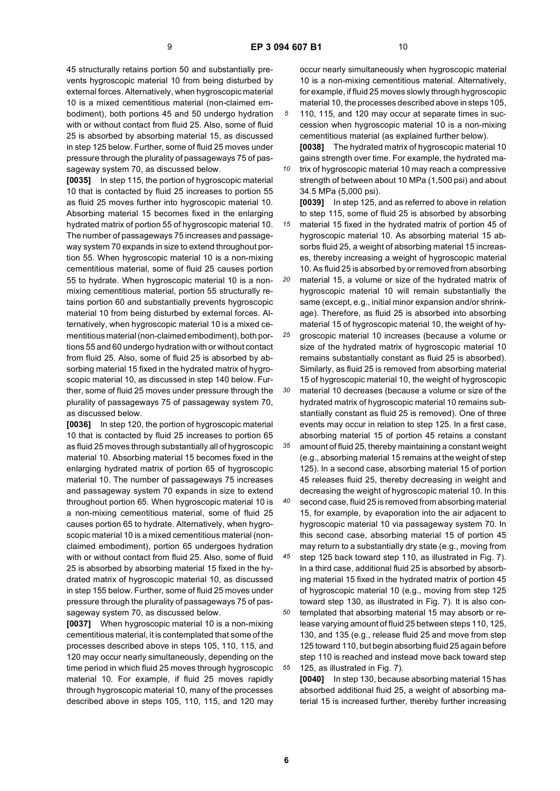45 structurally retains portion 50 and substantially prevents hygroscopic material 10 from being disturbed by external forces. Alternatively, when hygroscopic material 10 is a mixed cementitious material (non-claimed embodiment), both portions 45 and 50 undergo hydration with or without contact from fluid 25. Also, some of fluid 25 is absorbed by absorbing material 15, as discussed in step 125 below. Further, some of fluid 25 moves under pressure through the plurality of passageways 75 of passageway system 70, as discussed below.

**[0035]** In step 115, the portion of hygroscopic material 10 that is contacted by fluid 25 increases to portion 55 as fluid 25 moves further into hygroscopic material 10. Absorbing material 15 becomes fixed in the enlarging hydrated matrix of portion 55 of hygroscopic material 10. The number of passageways 75 increases and passageway system 70 expands in size to extend throughout portion 55. When hygroscopic material 10 is a non-mixing cementitious material, some of fluid 25 causes portion 55 to hydrate. When hygroscopic material 10 is a nonmixing cementitious material, portion 55 structurally retains portion 60 and substantially prevents hygroscopic material 10 from being disturbed by external forces. Alternatively, when hygroscopic material 10 is a mixed cementitious material (non-claimed embodiment), both portions 55 and 60 undergo hydration with or without contact from fluid 25. Also, some of fluid 25 is absorbed by absorbing material 15 fixed in the hydrated matrix of hygroscopic material 10, as discussed in step 140 below. Further, some of fluid 25 moves under pressure through the plurality of passageways 75 of passageway system 70, as discussed below.

**[0036]** In step 120, the portion of hygroscopic material 10 that is contacted by fluid 25 increases to portion 65 as fluid 25 moves through substantially all of hygroscopic material 10. Absorbing material 15 becomes fixed in the enlarging hydrated matrix of portion 65 of hygroscopic material 10. The number of passageways 75 increases and passageway system 70 expands in size to extend throughout portion 65. When hygroscopic material 10 is a non-mixing cementitious material, some of fluid 25 causes portion 65 to hydrate. Alternatively, when hygroscopic material 10 is a mixed cementitious material (nonclaimed embodiment), portion 65 undergoes hydration with or without contact from fluid 25. Also, some of fluid 25 is absorbed by absorbing material 15 fixed in the hydrated matrix of hygroscopic material 10, as discussed in step 155 below. Further, some of fluid 25 moves under pressure through the plurality of passageways 75 of passageway system 70, as discussed below.

**[0037]** When hygroscopic material 10 is a non-mixing cementitious material, it is contemplated that some of the processes described above in steps 105, 110, 115, and 120 may occur nearly simultaneously, depending on the time period in which fluid 25 moves through hygroscopic material 10. For example, if fluid 25 moves rapidly through hygroscopic material 10, many of the processes described above in steps 105, 110, 115, and 120 may

occur nearly simultaneously when hygroscopic material 10 is a non-mixing cementitious material. Alternatively, for example, if fluid 25 moves slowly through hygroscopic material 10, the processes described above in steps 105,

*5* 110, 115, and 120 may occur at separate times in succession when hygroscopic material 10 is a non-mixing cementitious material (as explained further below). **[0038]** The hydrated matrix of hygroscopic material 10

gains strength over time. For example, the hydrated matrix of hygroscopic material 10 may reach a compressive

strength of between about 10 MPa (1,500 psi) and about 34.5 MPa (5,000 psi).

*15* **[0039]** In step 125, and as referred to above in relation to step 115, some of fluid 25 is absorbed by absorbing material 15 fixed in the hydrated matrix of portion 45 of hygroscopic material 10. As absorbing material 15 absorbs fluid 25, a weight of absorbing material 15 increases, thereby increasing a weight of hygroscopic material 10. As fluid 25 is absorbed by or removed from absorbing

*20* material 15, a volume or size of the hydrated matrix of hygroscopic material 10 will remain substantially the same (except, e.g., initial minor expansion and/or shrinkage). Therefore, as fluid 25 is absorbed into absorbing material 15 of hygroscopic material 10, the weight of hy-

*25* groscopic material 10 increases (because a volume or size of the hydrated matrix of hygroscopic material 10 remains substantially constant as fluid 25 is absorbed). Similarly, as fluid 25 is removed from absorbing material 15 of hygroscopic material 10, the weight of hygroscopic

*30* material 10 decreases (because a volume or size of the hydrated matrix of hygroscopic material 10 remains substantially constant as fluid 25 is removed). One of three events may occur in relation to step 125. In a first case, absorbing material 15 of portion 45 retains a constant

*35 40* amount of fluid 25, thereby maintaining a constant weight (e.g., absorbing material 15 remains at the weight of step 125). In a second case, absorbing material 15 of portion 45 releases fluid 25, thereby decreasing in weight and decreasing the weight of hygroscopic material 10. In this second case, fluid 25 is removed from absorbing material 15, for example, by evaporation into the air adjacent to hygroscopic material 10 via passageway system 70. In this second case, absorbing material 15 of portion 45

*45 50 55* may return to a substantially dry state (e.g., moving from step 125 back toward step 110, as illustrated in Fig. 7). In a third case, additional fluid 25 is absorbed by absorbing material 15 fixed in the hydrated matrix of portion 45 of hygroscopic material 10 (e.g., moving from step 125 toward step 130, as illustrated in Fig. 7). It is also contemplated that absorbing material 15 may absorb or release varying amount of fluid 25 between steps 110, 125, 130, and 135 (e.g., release fluid 25 and move from step 125 toward 110, but begin absorbing fluid 25 again before step 110 is reached and instead move back toward step 125, as illustrated in Fig. 7).

**[0040]** In step 130, because absorbing material 15 has absorbed additional fluid 25, a weight of absorbing material 15 is increased further, thereby further increasing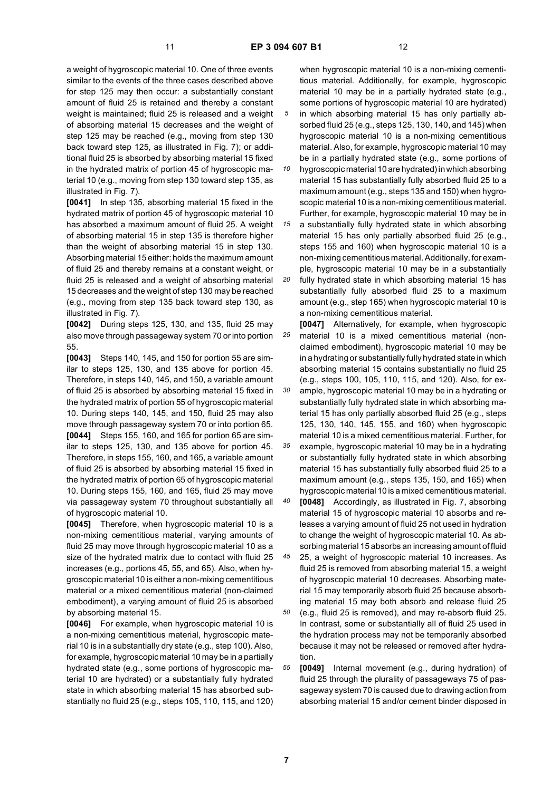*30*

a weight of hygroscopic material 10. One of three events similar to the events of the three cases described above for step 125 may then occur: a substantially constant amount of fluid 25 is retained and thereby a constant weight is maintained; fluid 25 is released and a weight of absorbing material 15 decreases and the weight of step 125 may be reached (e.g., moving from step 130 back toward step 125, as illustrated in Fig. 7); or additional fluid 25 is absorbed by absorbing material 15 fixed in the hydrated matrix of portion 45 of hygroscopic material 10 (e.g., moving from step 130 toward step 135, as illustrated in Fig. 7).

**[0041]** In step 135, absorbing material 15 fixed in the hydrated matrix of portion 45 of hygroscopic material 10 has absorbed a maximum amount of fluid 25. A weight of absorbing material 15 in step 135 is therefore higher than the weight of absorbing material 15 in step 130. Absorbing material 15 either: holds the maximum amount of fluid 25 and thereby remains at a constant weight, or fluid 25 is released and a weight of absorbing material 15 decreases and the weight of step 130 may be reached (e.g., moving from step 135 back toward step 130, as illustrated in Fig. 7).

**[0042]** During steps 125, 130, and 135, fluid 25 may also move through passageway system 70 or into portion 55.

**[0043]** Steps 140, 145, and 150 for portion 55 are similar to steps 125, 130, and 135 above for portion 45. Therefore, in steps 140, 145, and 150, a variable amount of fluid 25 is absorbed by absorbing material 15 fixed in the hydrated matrix of portion 55 of hygroscopic material 10. During steps 140, 145, and 150, fluid 25 may also move through passageway system 70 or into portion 65. **[0044]** Steps 155, 160, and 165 for portion 65 are similar to steps 125, 130, and 135 above for portion 45. Therefore, in steps 155, 160, and 165, a variable amount of fluid 25 is absorbed by absorbing material 15 fixed in the hydrated matrix of portion 65 of hygroscopic material 10. During steps 155, 160, and 165, fluid 25 may move via passageway system 70 throughout substantially all of hygroscopic material 10.

**[0045]** Therefore, when hygroscopic material 10 is a non-mixing cementitious material, varying amounts of fluid 25 may move through hygroscopic material 10 as a size of the hydrated matrix due to contact with fluid 25 increases (e.g., portions 45, 55, and 65). Also, when hygroscopic material 10 is either a non-mixing cementitious material or a mixed cementitious material (non-claimed embodiment), a varying amount of fluid 25 is absorbed by absorbing material 15.

**[0046]** For example, when hygroscopic material 10 is a non-mixing cementitious material, hygroscopic material 10 is in a substantially dry state (e.g., step 100). Also, for example, hygroscopic material 10 may be in a partially hydrated state (e.g., some portions of hygroscopic material 10 are hydrated) or a substantially fully hydrated state in which absorbing material 15 has absorbed substantially no fluid 25 (e.g., steps 105, 110, 115, and 120)

when hygroscopic material 10 is a non-mixing cementitious material. Additionally, for example, hygroscopic material 10 may be in a partially hydrated state (e.g., some portions of hygroscopic material 10 are hydrated) in which absorbing material 15 has only partially absorbed fluid 25 (e.g., steps 125, 130, 140, and 145) when hygroscopic material 10 is a non-mixing cementitious material. Also, for example, hygroscopic material 10 may

*10* be in a partially hydrated state (e.g., some portions of hygroscopic material 10 are hydrated) in which absorbing material 15 has substantially fully absorbed fluid 25 to a maximum amount (e.g., steps 135 and 150) when hygro-

*15* scopic material 10 is a non-mixing cementitious material. Further, for example, hygroscopic material 10 may be in a substantially fully hydrated state in which absorbing material 15 has only partially absorbed fluid 25 (e.g., steps 155 and 160) when hygroscopic material 10 is a

*20* non-mixing cementitious material. Additionally, for example, hygroscopic material 10 may be in a substantially fully hydrated state in which absorbing material 15 has substantially fully absorbed fluid 25 to a maximum amount (e.g., step 165) when hygroscopic material 10 is a non-mixing cementitious material.

*25* **[0047]** Alternatively, for example, when hygroscopic material 10 is a mixed cementitious material (nonclaimed embodiment), hygroscopic material 10 may be in a hydrating or substantially fully hydrated state in which absorbing material 15 contains substantially no fluid 25 (e.g., steps 100, 105, 110, 115, and 120). Also, for ex-

ample, hygroscopic material 10 may be in a hydrating or substantially fully hydrated state in which absorbing material 15 has only partially absorbed fluid 25 (e.g., steps 125, 130, 140, 145, 155, and 160) when hygroscopic material 10 is a mixed cementitious material. Further, for example, hygroscopic material 10 may be in a hydrating

*35* or substantially fully hydrated state in which absorbing material 15 has substantially fully absorbed fluid 25 to a maximum amount (e.g., steps 135, 150, and 165) when hygroscopic material 10 is a mixed cementitious material.

*40* **[0048]** Accordingly, as illustrated in Fig. 7, absorbing material 15 of hygroscopic material 10 absorbs and releases a varying amount of fluid 25 not used in hydration to change the weight of hygroscopic material 10. As absorbing material 15 absorbs an increasing amount of fluid

*45* 25, a weight of hygroscopic material 10 increases. As fluid 25 is removed from absorbing material 15, a weight of hygroscopic material 10 decreases. Absorbing material 15 may temporarily absorb fluid 25 because absorbing material 15 may both absorb and release fluid 25

*50* (e.g., fluid 25 is removed), and may re-absorb fluid 25. In contrast, some or substantially all of fluid 25 used in the hydration process may not be temporarily absorbed because it may not be released or removed after hydration.

*55* **[0049]** Internal movement (e.g., during hydration) of fluid 25 through the plurality of passageways 75 of passageway system 70 is caused due to drawing action from absorbing material 15 and/or cement binder disposed in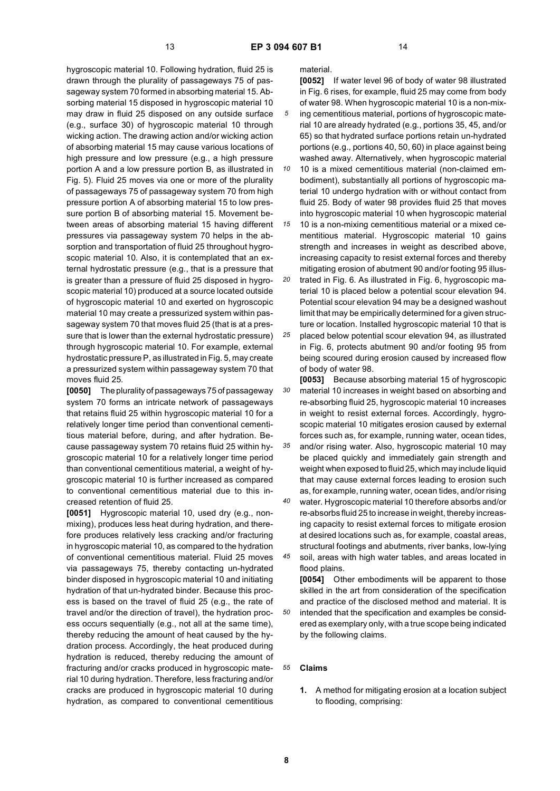hygroscopic material 10. Following hydration, fluid 25 is drawn through the plurality of passageways 75 of passageway system 70 formed in absorbing material 15. Absorbing material 15 disposed in hygroscopic material 10 may draw in fluid 25 disposed on any outside surface (e.g., surface 30) of hygroscopic material 10 through wicking action. The drawing action and/or wicking action of absorbing material 15 may cause various locations of high pressure and low pressure (e.g., a high pressure portion A and a low pressure portion B, as illustrated in Fig. 5). Fluid 25 moves via one or more of the plurality of passageways 75 of passageway system 70 from high pressure portion A of absorbing material 15 to low pressure portion B of absorbing material 15. Movement between areas of absorbing material 15 having different pressures via passageway system 70 helps in the absorption and transportation of fluid 25 throughout hygroscopic material 10. Also, it is contemplated that an external hydrostatic pressure (e.g., that is a pressure that is greater than a pressure of fluid 25 disposed in hygroscopic material 10) produced at a source located outside of hygroscopic material 10 and exerted on hygroscopic material 10 may create a pressurized system within passageway system 70 that moves fluid 25 (that is at a pressure that is lower than the external hydrostatic pressure) through hygroscopic material 10. For example, external hydrostatic pressure P, as illustrated in Fig. 5, may create a pressurized system within passageway system 70 that moves fluid 25.

**[0050]** The plurality of passageways 75 of passageway system 70 forms an intricate network of passageways that retains fluid 25 within hygroscopic material 10 for a relatively longer time period than conventional cementitious material before, during, and after hydration. Because passageway system 70 retains fluid 25 within hygroscopic material 10 for a relatively longer time period than conventional cementitious material, a weight of hygroscopic material 10 is further increased as compared to conventional cementitious material due to this increased retention of fluid 25.

**[0051]** Hygroscopic material 10, used dry (e.g., nonmixing), produces less heat during hydration, and therefore produces relatively less cracking and/or fracturing in hygroscopic material 10, as compared to the hydration of conventional cementitious material. Fluid 25 moves via passageways 75, thereby contacting un-hydrated binder disposed in hygroscopic material 10 and initiating hydration of that un-hydrated binder. Because this process is based on the travel of fluid 25 (e.g., the rate of travel and/or the direction of travel), the hydration process occurs sequentially (e.g., not all at the same time), thereby reducing the amount of heat caused by the hydration process. Accordingly, the heat produced during hydration is reduced, thereby reducing the amount of fracturing and/or cracks produced in hygroscopic material 10 during hydration. Therefore, less fracturing and/or cracks are produced in hygroscopic material 10 during hydration, as compared to conventional cementitious

material.

**[0052]** If water level 96 of body of water 98 illustrated in Fig. 6 rises, for example, fluid 25 may come from body of water 98. When hygroscopic material 10 is a non-mixing cementitious material, portions of hygroscopic material 10 are already hydrated (e.g., portions 35, 45, and/or 65) so that hydrated surface portions retain un-hydrated portions (e.g., portions 40, 50, 60) in place against being washed away. Alternatively, when hygroscopic material

*10* 10 is a mixed cementitious material (non-claimed embodiment), substantially all portions of hygroscopic material 10 undergo hydration with or without contact from fluid 25. Body of water 98 provides fluid 25 that moves into hygroscopic material 10 when hygroscopic material

*15* 10 is a non-mixing cementitious material or a mixed cementitious material. Hygroscopic material 10 gains strength and increases in weight as described above, increasing capacity to resist external forces and thereby mitigating erosion of abutment 90 and/or footing 95 illus-

*20* trated in Fig. 6. As illustrated in Fig. 6, hygroscopic material 10 is placed below a potential scour elevation 94. Potential scour elevation 94 may be a designed washout limit that may be empirically determined for a given structure or location. Installed hygroscopic material 10 that is

*25* placed below potential scour elevation 94, as illustrated in Fig. 6, protects abutment 90 and/or footing 95 from being scoured during erosion caused by increased flow of body of water 98.

*30* **[0053]** Because absorbing material 15 of hygroscopic material 10 increases in weight based on absorbing and re-absorbing fluid 25, hygroscopic material 10 increases in weight to resist external forces. Accordingly, hygroscopic material 10 mitigates erosion caused by external forces such as, for example, running water, ocean tides,

*35* and/or rising water. Also, hygroscopic material 10 may be placed quickly and immediately gain strength and weight when exposed to fluid 25, which may include liquid that may cause external forces leading to erosion such as, for example, running water, ocean tides, and/or rising

*40* water. Hygroscopic material 10 therefore absorbs and/or re-absorbs fluid 25 to increase in weight, thereby increasing capacity to resist external forces to mitigate erosion at desired locations such as, for example, coastal areas, structural footings and abutments, river banks, low-lying

*45* soil, areas with high water tables, and areas located in flood plains.

**[0054]** Other embodiments will be apparent to those skilled in the art from consideration of the specification and practice of the disclosed method and material. It is intended that the specification and examples be considered as exemplary only, with a true scope being indicated by the following claims.

#### *55* **Claims**

**1.** A method for mitigating erosion at a location subject to flooding, comprising: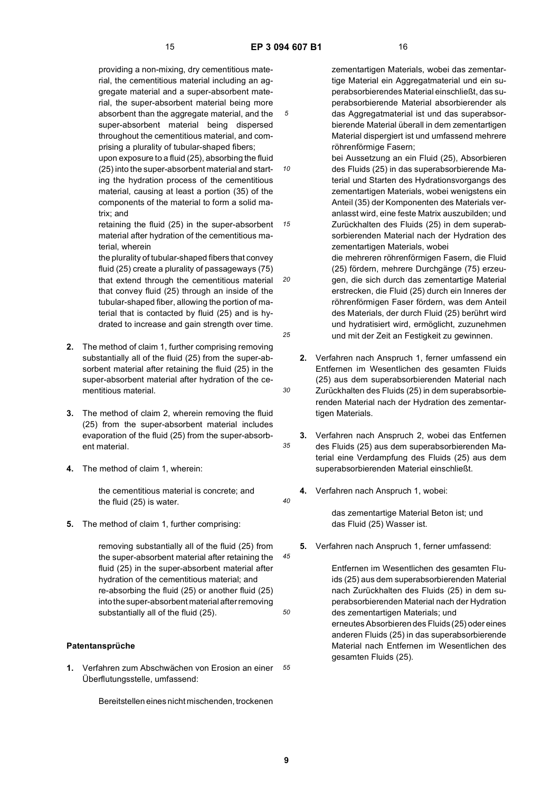*10*

*30*

*35*

*40*

*50*

providing a non-mixing, dry cementitious material, the cementitious material including an aggregate material and a super-absorbent material, the super-absorbent material being more absorbent than the aggregate material, and the super-absorbent material being dispersed throughout the cementitious material, and comprising a plurality of tubular-shaped fibers; upon exposure to a fluid (25), absorbing the fluid

(25) into the super-absorbent material and starting the hydration process of the cementitious material, causing at least a portion (35) of the components of the material to form a solid matrix; and

*15* retaining the fluid (25) in the super-absorbent material after hydration of the cementitious material, wherein

*20 25* the plurality of tubular-shaped fibers that convey fluid (25) create a plurality of passageways (75) that extend through the cementitious material that convey fluid (25) through an inside of the tubular-shaped fiber, allowing the portion of material that is contacted by fluid (25) and is hydrated to increase and gain strength over time.

- **2.** The method of claim 1, further comprising removing substantially all of the fluid (25) from the super-absorbent material after retaining the fluid (25) in the super-absorbent material after hydration of the cementitious material.
- **3.** The method of claim 2, wherein removing the fluid (25) from the super-absorbent material includes evaporation of the fluid (25) from the super-absorbent material.
- **4.** The method of claim 1, wherein:

the cementitious material is concrete; and the fluid (25) is water.

**5.** The method of claim 1, further comprising:

*45* removing substantially all of the fluid (25) from the super-absorbent material after retaining the fluid (25) in the super-absorbent material after hydration of the cementitious material; and re-absorbing the fluid (25) or another fluid (25) into the super-absorbent material after removing substantially all of the fluid (25).

### **Patentansprüche**

*55* **1.** Verfahren zum Abschwächen von Erosion an einer Überflutungsstelle, umfassend:

Bereitstellen eines nicht mischenden, trockenen

zementartigen Materials, wobei das zementartige Material ein Aggregatmaterial und ein superabsorbierendes Material einschließt, das superabsorbierende Material absorbierender als das Aggregatmaterial ist und das superabsorbierende Material überall in dem zementartigen Material dispergiert ist und umfassend mehrere röhrenförmige Fasern;

bei Aussetzung an ein Fluid (25), Absorbieren des Fluids (25) in das superabsorbierende Material und Starten des Hydrationsvorgangs des zementartigen Materials, wobei wenigstens ein Anteil (35) der Komponenten des Materials veranlasst wird, eine feste Matrix auszubilden; und Zurückhalten des Fluids (25) in dem superabsorbierenden Material nach der Hydration des zementartigen Materials, wobei

die mehreren röhrenförmigen Fasern, die Fluid (25) fördern, mehrere Durchgänge (75) erzeugen, die sich durch das zementartige Material erstrecken, die Fluid (25) durch ein Inneres der röhrenförmigen Faser fördern, was dem Anteil des Materials, der durch Fluid (25) berührt wird und hydratisiert wird, ermöglicht, zuzunehmen und mit der Zeit an Festigkeit zu gewinnen.

- **2.** Verfahren nach Anspruch 1, ferner umfassend ein Entfernen im Wesentlichen des gesamten Fluids (25) aus dem superabsorbierenden Material nach Zurückhalten des Fluids (25) in dem superabsorbierenden Material nach der Hydration des zementartigen Materials.
- **3.** Verfahren nach Anspruch 2, wobei das Entfernen des Fluids (25) aus dem superabsorbierenden Material eine Verdampfung des Fluids (25) aus dem superabsorbierenden Material einschließt.
- **4.** Verfahren nach Anspruch 1, wobei:

das zementartige Material Beton ist; und das Fluid (25) Wasser ist.

**5.** Verfahren nach Anspruch 1, ferner umfassend:

Entfernen im Wesentlichen des gesamten Fluids (25) aus dem superabsorbierenden Material nach Zurückhalten des Fluids (25) in dem superabsorbierenden Material nach der Hydration des zementartigen Materials; und erneutes Absorbieren des Fluids (25) oder eines anderen Fluids (25) in das superabsorbierende Material nach Entfernen im Wesentlichen des gesamten Fluids (25).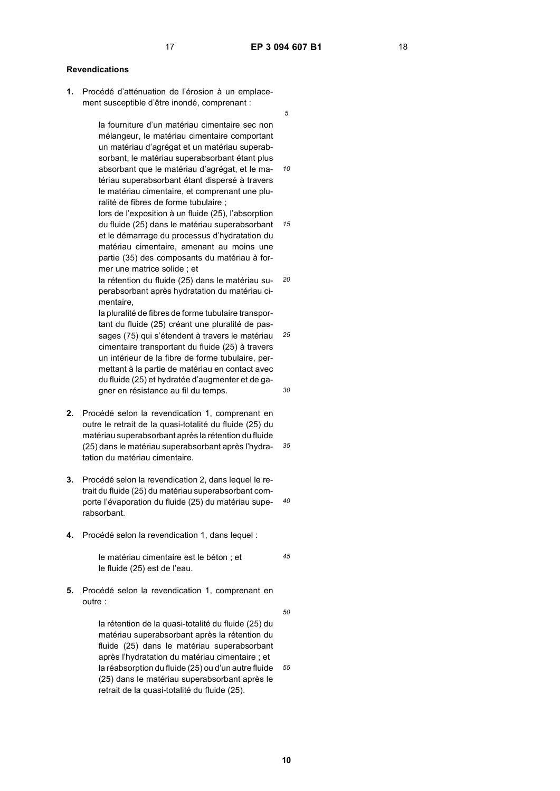*10*

*15*

### **Revendications**

**1.** Procédé d'atténuation de l'érosion à un emplacement susceptible d'être inondé, comprenant :

> la fourniture d'un matériau cimentaire sec non mélangeur, le matériau cimentaire comportant un matériau d'agrégat et un matériau superabsorbant, le matériau superabsorbant étant plus absorbant que le matériau d'agrégat, et le matériau superabsorbant étant dispersé à travers le matériau cimentaire, et comprenant une pluralité de fibres de forme tubulaire ;

> lors de l'exposition à un fluide (25), l'absorption du fluide (25) dans le matériau superabsorbant et le démarrage du processus d'hydratation du matériau cimentaire, amenant au moins une partie (35) des composants du matériau à former une matrice solide ; et

*20* la rétention du fluide (25) dans le matériau superabsorbant après hydratation du matériau cimentaire,

*25 30* la pluralité de fibres de forme tubulaire transportant du fluide (25) créant une pluralité de passages (75) qui s'étendent à travers le matériau cimentaire transportant du fluide (25) à travers un intérieur de la fibre de forme tubulaire, permettant à la partie de matériau en contact avec du fluide (25) et hydratée d'augmenter et de gagner en résistance au fil du temps.

- *35* **2.** Procédé selon la revendication 1, comprenant en outre le retrait de la quasi-totalité du fluide (25) du matériau superabsorbant après la rétention du fluide (25) dans le matériau superabsorbant après l'hydratation du matériau cimentaire.
- *40* porte l'évaporation du fluide (25) du matériau supe-**3.** Procédé selon la revendication 2, dans lequel le retrait du fluide (25) du matériau superabsorbant comrabsorbant.
- **4.** Procédé selon la revendication 1, dans lequel :

*45* le matériau cimentaire est le béton ; et le fluide (25) est de l'eau.

**5.** Procédé selon la revendication 1, comprenant en outre :

> *55* la rétention de la quasi-totalité du fluide (25) du matériau superabsorbant après la rétention du fluide (25) dans le matériau superabsorbant après l'hydratation du matériau cimentaire ; et la réabsorption du fluide (25) ou d'un autre fluide (25) dans le matériau superabsorbant après le retrait de la quasi-totalité du fluide (25).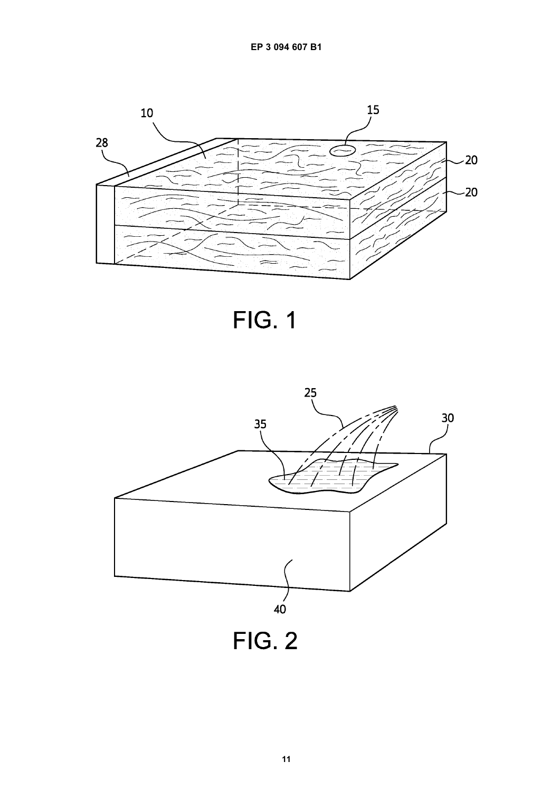

**FIG. 1** 

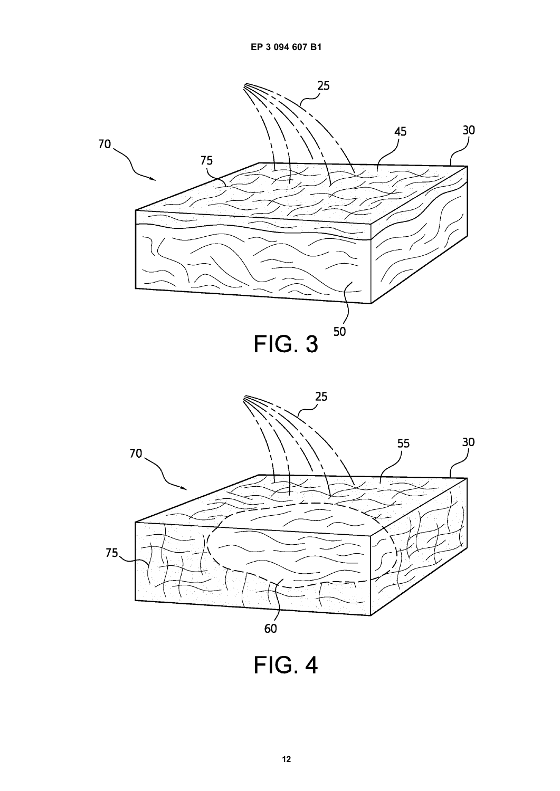

**FIG. 4**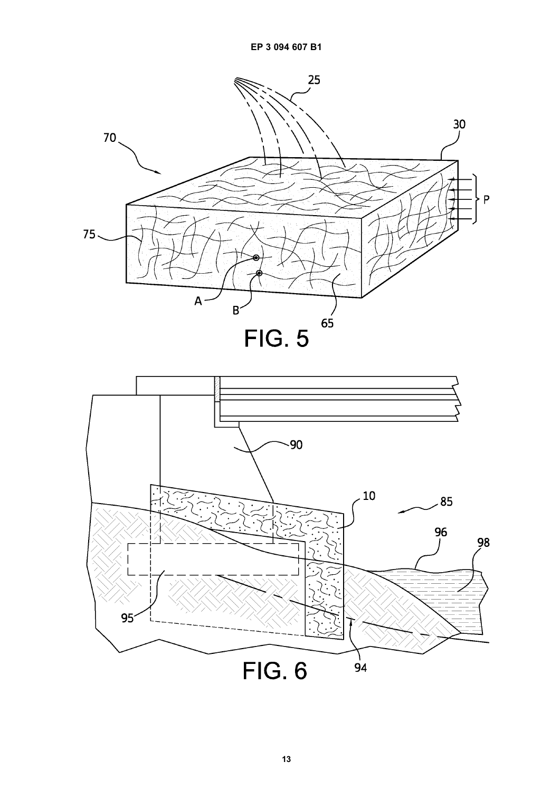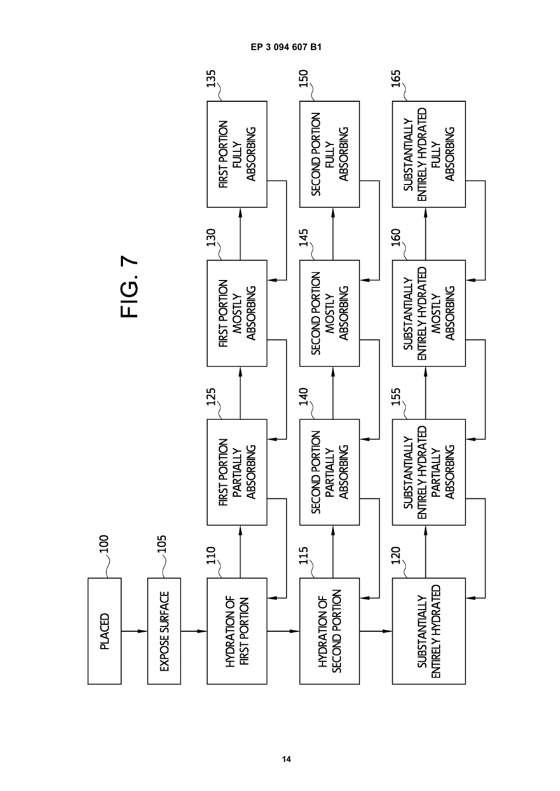

**EP 3 094 607 B1**